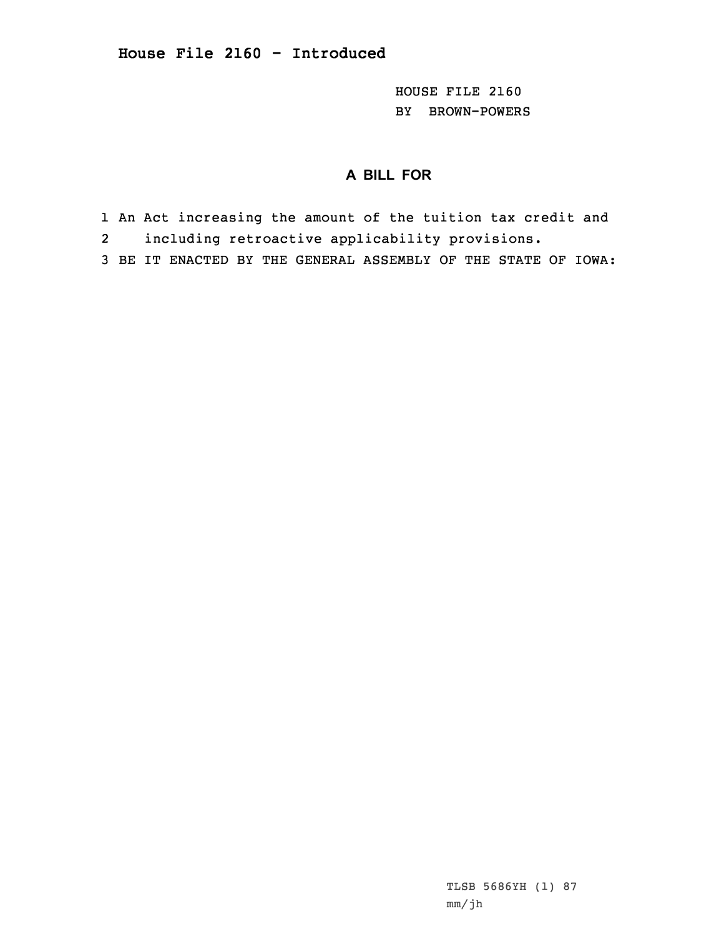HOUSE FILE 2160 BY BROWN-POWERS

## **A BILL FOR**

- 1 An Act increasing the amount of the tuition tax credit and
- 2including retroactive applicability provisions.
- 3 BE IT ENACTED BY THE GENERAL ASSEMBLY OF THE STATE OF IOWA: